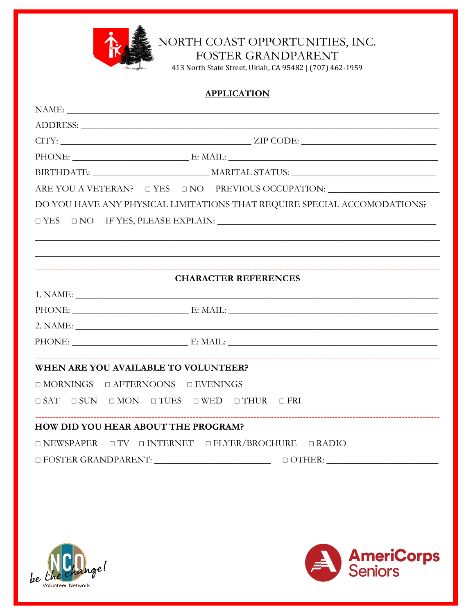

NORTH COAST OPPORTUNITIES, INC.

FOSTER GRANDPARENT

413 North State Street, Ukiah, CA 95482 | (707) 462-1959

# **APPLICATION** CITY: ZIP CODE: ARE YOU A VETERAN? O YES ONO PREVIOUS OCCUPATION: DO YOU HAVE ANY PHYSICAL LIMITATIONS THAT REQUIRE SPECIAL ACCOMODATIONS?  $\Box$  YES  $\Box$  NO IF YES, PLEASE EXPLAIN: **CHARACTER REFERENCES** PHONE: E: MAIL: 2. NAME: PHONE: E: MAIL: **WHEN ARE YOU AVAILABLE TO VOLUNTEER?**  $\Box MORNINGS \quad \Box AFTERNOONS \quad \Box EVENINGS$  $\Box$  SAT  $\Box$  SUN  $\Box$  MON  $\Box$  TUES  $\Box$  WED  $\Box$  THUR  $\Box$  FRI **HOW DID YOU HEAR ABOUT THE PROGRAM?**  $\Box$ NEWSPAPER  $\Box$  TV  $\Box$  INTERNET  $\Box$  FLYER/BROCHURE  $\Box$  RADIO



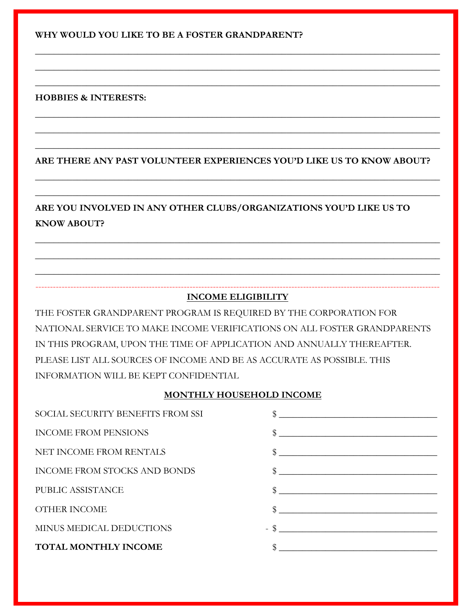**WHY WOULD YOU LIKE TO BE A FOSTER GRANDPARENT?**

### **HOBBIES & INTERESTS:**

### **ARE THERE ANY PAST VOLUNTEER EXPERIENCES YOU'D LIKE US TO KNOW ABOUT?**

\_\_\_\_\_\_\_\_\_\_\_\_\_\_\_\_\_\_\_\_\_\_\_\_\_\_\_\_\_\_\_\_\_\_\_\_\_\_\_\_\_\_\_\_\_\_\_\_\_\_\_\_\_\_\_\_\_\_\_\_\_\_\_\_\_\_\_\_\_\_\_\_\_\_\_\_\_\_\_\_\_\_\_\_\_\_\_

\_\_\_\_\_\_\_\_\_\_\_\_\_\_\_\_\_\_\_\_\_\_\_\_\_\_\_\_\_\_\_\_\_\_\_\_\_\_\_\_\_\_\_\_\_\_\_\_\_\_\_\_\_\_\_\_\_\_\_\_\_\_\_\_\_\_\_\_\_\_\_\_\_\_\_\_\_\_\_\_\_\_\_\_\_\_\_

\_\_\_\_\_\_\_\_\_\_\_\_\_\_\_\_\_\_\_\_\_\_\_\_\_\_\_\_\_\_\_\_\_\_\_\_\_\_\_\_\_\_\_\_\_\_\_\_\_\_\_\_\_\_\_\_\_\_\_\_\_\_\_\_\_\_\_\_\_\_\_\_\_\_\_\_\_\_\_\_\_\_\_\_\_\_\_

\_\_\_\_\_\_\_\_\_\_\_\_\_\_\_\_\_\_\_\_\_\_\_\_\_\_\_\_\_\_\_\_\_\_\_\_\_\_\_\_\_\_\_\_\_\_\_\_\_\_\_\_\_\_\_\_\_\_\_\_\_\_\_\_\_\_\_\_\_\_\_\_\_\_\_\_\_\_\_\_\_\_\_\_\_\_\_

\_\_\_\_\_\_\_\_\_\_\_\_\_\_\_\_\_\_\_\_\_\_\_\_\_\_\_\_\_\_\_\_\_\_\_\_\_\_\_\_\_\_\_\_\_\_\_\_\_\_\_\_\_\_\_\_\_\_\_\_\_\_\_\_\_\_\_\_\_\_\_\_\_\_\_\_\_\_\_\_\_\_\_\_\_\_\_

\_\_\_\_\_\_\_\_\_\_\_\_\_\_\_\_\_\_\_\_\_\_\_\_\_\_\_\_\_\_\_\_\_\_\_\_\_\_\_\_\_\_\_\_\_\_\_\_\_\_\_\_\_\_\_\_\_\_\_\_\_\_\_\_\_\_\_\_\_\_\_\_\_\_\_\_\_\_\_\_\_\_\_\_\_\_\_

\_\_\_\_\_\_\_\_\_\_\_\_\_\_\_\_\_\_\_\_\_\_\_\_\_\_\_\_\_\_\_\_\_\_\_\_\_\_\_\_\_\_\_\_\_\_\_\_\_\_\_\_\_\_\_\_\_\_\_\_\_\_\_\_\_\_\_\_\_\_\_\_\_\_\_\_\_\_\_\_\_\_\_\_\_\_\_

\_\_\_\_\_\_\_\_\_\_\_\_\_\_\_\_\_\_\_\_\_\_\_\_\_\_\_\_\_\_\_\_\_\_\_\_\_\_\_\_\_\_\_\_\_\_\_\_\_\_\_\_\_\_\_\_\_\_\_\_\_\_\_\_\_\_\_\_\_\_\_\_\_\_\_\_\_\_\_\_\_\_\_\_\_\_\_

\_\_\_\_\_\_\_\_\_\_\_\_\_\_\_\_\_\_\_\_\_\_\_\_\_\_\_\_\_\_\_\_\_\_\_\_\_\_\_\_\_\_\_\_\_\_\_\_\_\_\_\_\_\_\_\_\_\_\_\_\_\_\_\_\_\_\_\_\_\_\_\_\_\_\_\_\_\_\_\_\_\_\_\_\_\_\_

\_\_\_\_\_\_\_\_\_\_\_\_\_\_\_\_\_\_\_\_\_\_\_\_\_\_\_\_\_\_\_\_\_\_\_\_\_\_\_\_\_\_\_\_\_\_\_\_\_\_\_\_\_\_\_\_\_\_\_\_\_\_\_\_\_\_\_\_\_\_\_\_\_\_\_\_\_\_\_\_\_\_\_\_\_\_\_

\_\_\_\_\_\_\_\_\_\_\_\_\_\_\_\_\_\_\_\_\_\_\_\_\_\_\_\_\_\_\_\_\_\_\_\_\_\_\_\_\_\_\_\_\_\_\_\_\_\_\_\_\_\_\_\_\_\_\_\_\_\_\_\_\_\_\_\_\_\_\_\_\_\_\_\_\_\_\_\_\_\_\_\_\_\_\_

## **ARE YOU INVOLVED IN ANY OTHER CLUBS/ORGANIZATIONS YOU'D LIKE US TO KNOW ABOUT?**

### ------------------------------------------------------------------------------------------------------------------------------------------- **INCOME ELIGIBILITY**

THE FOSTER GRANDPARENT PROGRAM IS REQUIRED BY THE CORPORATION FOR NATIONAL SERVICE TO MAKE INCOME VERIFICATIONS ON ALL FOSTER GRANDPARENTS IN THIS PROGRAM, UPON THE TIME OF APPLICATION AND ANNUALLY THEREAFTER. PLEASE LIST ALL SOURCES OF INCOME AND BE AS ACCURATE AS POSSIBLE. THIS INFORMATION WILL BE KEPT CONFIDENTIAL

### **MONTHLY HOUSEHOLD INCOME**

| SOCIAL SECURITY BENEFITS FROM SSI   |                                                                                                                                                                                                                                                                                                                     |
|-------------------------------------|---------------------------------------------------------------------------------------------------------------------------------------------------------------------------------------------------------------------------------------------------------------------------------------------------------------------|
| <b>INCOME FROM PENSIONS</b>         | $\frac{1}{2}$ $\frac{1}{2}$ $\frac{1}{2}$ $\frac{1}{2}$ $\frac{1}{2}$ $\frac{1}{2}$ $\frac{1}{2}$ $\frac{1}{2}$ $\frac{1}{2}$ $\frac{1}{2}$ $\frac{1}{2}$ $\frac{1}{2}$ $\frac{1}{2}$ $\frac{1}{2}$ $\frac{1}{2}$ $\frac{1}{2}$ $\frac{1}{2}$ $\frac{1}{2}$ $\frac{1}{2}$ $\frac{1}{2}$ $\frac{1}{2}$ $\frac{1}{2}$ |
| NET INCOME FROM RENTALS             | $\frac{1}{2}$ $\frac{1}{2}$ $\frac{1}{2}$ $\frac{1}{2}$ $\frac{1}{2}$ $\frac{1}{2}$ $\frac{1}{2}$ $\frac{1}{2}$ $\frac{1}{2}$ $\frac{1}{2}$ $\frac{1}{2}$ $\frac{1}{2}$ $\frac{1}{2}$ $\frac{1}{2}$ $\frac{1}{2}$ $\frac{1}{2}$ $\frac{1}{2}$ $\frac{1}{2}$ $\frac{1}{2}$ $\frac{1}{2}$ $\frac{1}{2}$ $\frac{1}{2}$ |
| <b>INCOME FROM STOCKS AND BONDS</b> |                                                                                                                                                                                                                                                                                                                     |
| PUBLIC ASSISTANCE                   | \$<br><u> 1980 - Jan Stein Stein, Amerikaansk politiker († 1908)</u>                                                                                                                                                                                                                                                |
| <b>OTHER INCOME</b>                 | \$                                                                                                                                                                                                                                                                                                                  |
| MINUS MEDICAL DEDUCTIONS            | $-$ \$                                                                                                                                                                                                                                                                                                              |
| <b>TOTAL MONTHLY INCOME</b>         |                                                                                                                                                                                                                                                                                                                     |